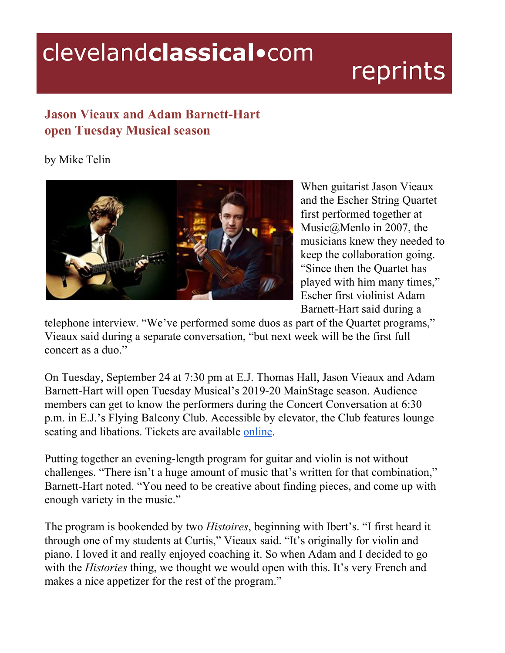## clevelandclassical.com

## reprints

## **Jason Vieaux and Adam Barnett-Hart open Tuesday Musical season**

by Mike Telin



When guitarist Jason Vieaux and the Escher String Quartet first performed together at Music@Menlo in 2007, the musicians knew they needed to keep the collaboration going. "Since then the Quartet has played with him many times," Escher first violinist Adam Barnett-Hart said during a

telephone interview. "We've performed some duos as part of the Quartet programs," Vieaux said during a separate conversation, "but next week will be the first full concert as a duo."

On Tuesday, September 24 at 7:30 pm at E.J. Thomas Hall, Jason Vieaux and Adam Barnett-Hart will open Tuesday Musical's 2019-20 MainStage season. Audience members can get to know the performers during the Concert Conversation at 6:30 p.m. in E.J.'s Flying Balcony Club. Accessible by elevator, the Club features lounge seating and libations. Tickets are available [online](https://www.tuesdaymusical.org/performances/tickets/jason-vieaux-adam-barnett-hart/3270/c16).

Putting together an evening-length program for guitar and violin is not without challenges. "There isn't a huge amount of music that's written for that combination," Barnett-Hart noted. "You need to be creative about finding pieces, and come up with enough variety in the music."

The program is bookended by two *Histoires*, beginning with Ibert's. "I first heard it through one of my students at Curtis," Vieaux said. "It's originally for violin and piano. I loved it and really enjoyed coaching it. So when Adam and I decided to go with the *Histories* thing, we thought we would open with this. It's very French and makes a nice appetizer for the rest of the program."